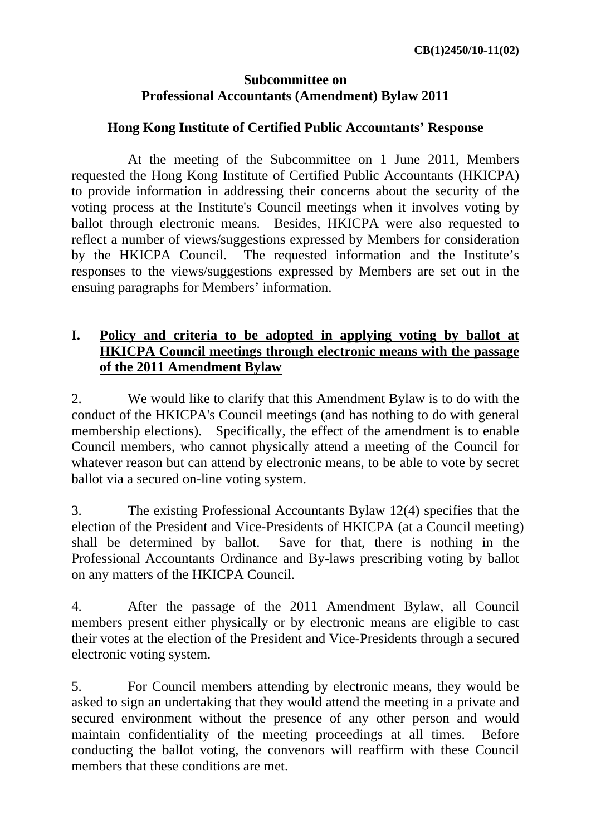#### **Subcommittee on Professional Accountants (Amendment) Bylaw 2011**

#### **Hong Kong Institute of Certified Public Accountants' Response**

 At the meeting of the Subcommittee on 1 June 2011, Members requested the Hong Kong Institute of Certified Public Accountants (HKICPA) to provide information in addressing their concerns about the security of the voting process at the Institute's Council meetings when it involves voting by ballot through electronic means. Besides, HKICPA were also requested to reflect a number of views/suggestions expressed by Members for consideration by the HKICPA Council. The requested information and the Institute's responses to the views/suggestions expressed by Members are set out in the ensuing paragraphs for Members' information.

### **I. Policy and criteria to be adopted in applying voting by ballot at HKICPA Council meetings through electronic means with the passage of the 2011 Amendment Bylaw**

2. We would like to clarify that this Amendment Bylaw is to do with the conduct of the HKICPA's Council meetings (and has nothing to do with general membership elections). Specifically, the effect of the amendment is to enable Council members, who cannot physically attend a meeting of the Council for whatever reason but can attend by electronic means, to be able to vote by secret ballot via a secured on-line voting system.

3. The existing Professional Accountants Bylaw 12(4) specifies that the election of the President and Vice-Presidents of HKICPA (at a Council meeting) shall be determined by ballot. Save for that, there is nothing in the Professional Accountants Ordinance and By-laws prescribing voting by ballot on any matters of the HKICPA Council.

4. After the passage of the 2011 Amendment Bylaw, all Council members present either physically or by electronic means are eligible to cast their votes at the election of the President and Vice-Presidents through a secured electronic voting system.

5. For Council members attending by electronic means, they would be asked to sign an undertaking that they would attend the meeting in a private and secured environment without the presence of any other person and would maintain confidentiality of the meeting proceedings at all times. Before conducting the ballot voting, the convenors will reaffirm with these Council members that these conditions are met.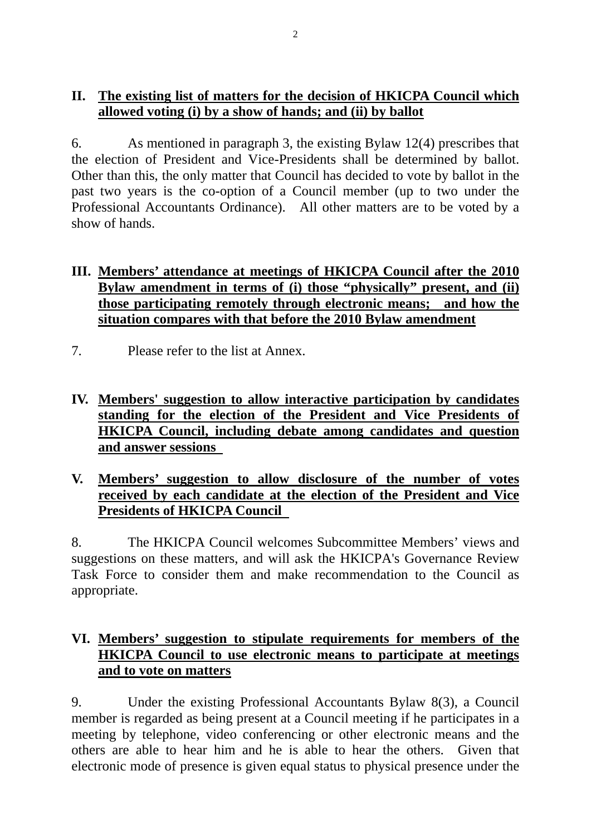## **II. The existing list of matters for the decision of HKICPA Council which allowed voting (i) by a show of hands; and (ii) by ballot**

6. As mentioned in paragraph 3, the existing Bylaw 12(4) prescribes that the election of President and Vice-Presidents shall be determined by ballot. Other than this, the only matter that Council has decided to vote by ballot in the past two years is the co-option of a Council member (up to two under the Professional Accountants Ordinance). All other matters are to be voted by a show of hands.

#### **III. Members' attendance at meetings of HKICPA Council after the 2010 Bylaw amendment in terms of (i) those "physically" present, and (ii) those participating remotely through electronic means; and how the situation compares with that before the 2010 Bylaw amendment**

- 7. Please refer to the list at Annex.
- **IV. Members' suggestion to allow interactive participation by candidates standing for the election of the President and Vice Presidents of HKICPA Council, including debate among candidates and question and answer sessions**
- **V. Members' suggestion to allow disclosure of the number of votes received by each candidate at the election of the President and Vice Presidents of HKICPA Council**

8. The HKICPA Council welcomes Subcommittee Members' views and suggestions on these matters, and will ask the HKICPA's Governance Review Task Force to consider them and make recommendation to the Council as appropriate.

## **VI. Members' suggestion to stipulate requirements for members of the HKICPA Council to use electronic means to participate at meetings and to vote on matters**

9. Under the existing Professional Accountants Bylaw 8(3), a Council member is regarded as being present at a Council meeting if he participates in a meeting by telephone, video conferencing or other electronic means and the others are able to hear him and he is able to hear the others. Given that electronic mode of presence is given equal status to physical presence under the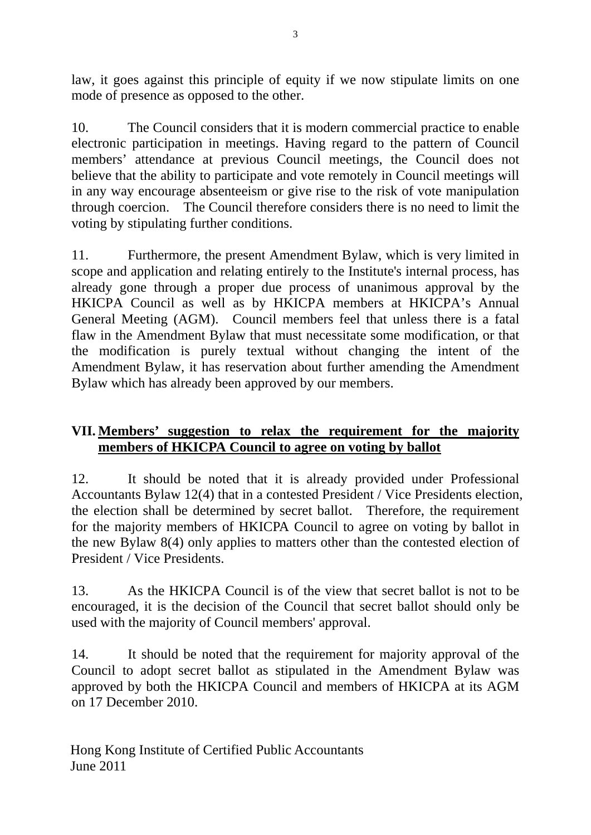law, it goes against this principle of equity if we now stipulate limits on one mode of presence as opposed to the other.

10. The Council considers that it is modern commercial practice to enable electronic participation in meetings. Having regard to the pattern of Council members' attendance at previous Council meetings, the Council does not believe that the ability to participate and vote remotely in Council meetings will in any way encourage absenteeism or give rise to the risk of vote manipulation through coercion. The Council therefore considers there is no need to limit the voting by stipulating further conditions.

11. Furthermore, the present Amendment Bylaw, which is very limited in scope and application and relating entirely to the Institute's internal process, has already gone through a proper due process of unanimous approval by the HKICPA Council as well as by HKICPA members at HKICPA's Annual General Meeting (AGM). Council members feel that unless there is a fatal flaw in the Amendment Bylaw that must necessitate some modification, or that the modification is purely textual without changing the intent of the Amendment Bylaw, it has reservation about further amending the Amendment Bylaw which has already been approved by our members.

# **VII. Members' suggestion to relax the requirement for the majority members of HKICPA Council to agree on voting by ballot**

12. It should be noted that it is already provided under Professional Accountants Bylaw 12(4) that in a contested President / Vice Presidents election, the election shall be determined by secret ballot. Therefore, the requirement for the majority members of HKICPA Council to agree on voting by ballot in the new Bylaw 8(4) only applies to matters other than the contested election of President / Vice Presidents.

13. As the HKICPA Council is of the view that secret ballot is not to be encouraged, it is the decision of the Council that secret ballot should only be used with the majority of Council members' approval.

14. It should be noted that the requirement for majority approval of the Council to adopt secret ballot as stipulated in the Amendment Bylaw was approved by both the HKICPA Council and members of HKICPA at its AGM on 17 December 2010.

Hong Kong Institute of Certified Public Accountants June 2011